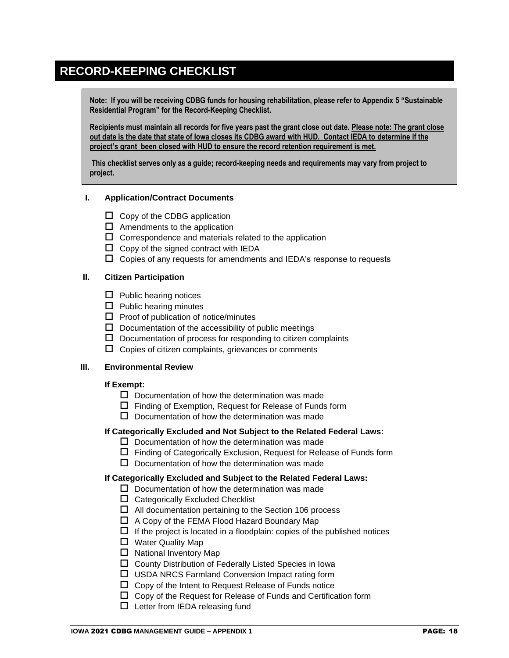# **RECORD-KEEPING CHECKLIST**

**Note: If you will be receiving CDBG funds for housing rehabilitation, please refer to Appendix 5 "Sustainable Residential Program" for the Record-Keeping Checklist.**

**Recipients must maintain all records for five years past the grant close out date. Please note: The grant close out date is the date that state of Iowa closes its CDBG award with HUD. Contact IEDA to determine if the project's grant been closed with HUD to ensure the record retention requirement is met.** 

**This checklist serves only as a guide; record-keeping needs and requirements may vary from project to project.**

## **I. Application/Contract Documents**

- $\Box$  Copy of the CDBG application
- $\Box$  Amendments to the application
- $\square$  Correspondence and materials related to the application
- $\Box$  Copy of the signed contract with IEDA
- $\Box$  Copies of any requests for amendments and IEDA's response to requests

## **II. Citizen Participation**

- $\Box$  Public hearing notices
- $\Box$  Public hearing minutes
- $\Box$  Proof of publication of notice/minutes
- $\square$  Documentation of the accessibility of public meetings
- $\square$  Documentation of process for responding to citizen complaints
- $\Box$  Copies of citizen complaints, grievances or comments

#### **III. Environmental Review**

#### **If Exempt:**

- $\square$  Documentation of how the determination was made
- $\square$  Finding of Exemption, Request for Release of Funds form
- $\square$  Documentation of how the determination was made

### **If Categorically Excluded and Not Subject to the Related Federal Laws:**

- $\square$  Documentation of how the determination was made
- $\Box$  Finding of Categorically Exclusion, Request for Release of Funds form
- $\square$  Documentation of how the determination was made

#### **If Categorically Excluded and Subject to the Related Federal Laws:**

- $\square$  Documentation of how the determination was made
- $\Box$  Categorically Excluded Checklist
- $\Box$  All documentation pertaining to the Section 106 process
- $\Box$  A Copy of the FEMA Flood Hazard Boundary Map
- $\Box$  If the project is located in a floodplain: copies of the published notices
- □ Water Quality Map
- $\Box$  National Inventory Map
- $\square$  County Distribution of Federally Listed Species in Iowa
- □ USDA NRCS Farmland Conversion Impact rating form
- $\Box$  Copy of the Intent to Request Release of Funds notice
- $\square$  Copy of the Request for Release of Funds and Certification form
- $\Box$  Letter from IEDA releasing fund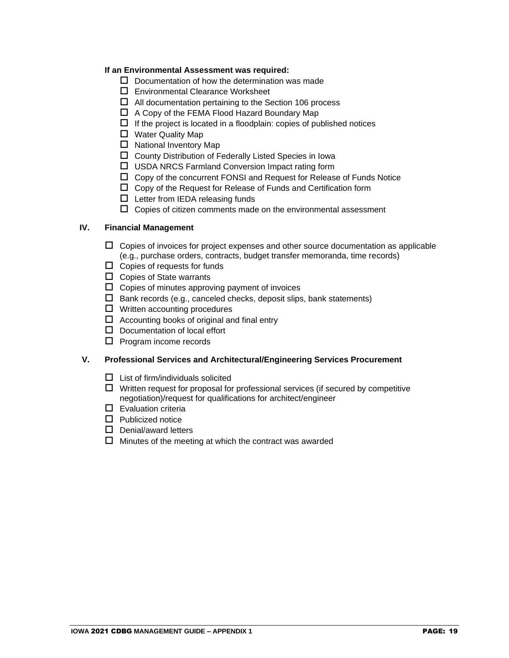## **If an Environmental Assessment was required:**

- $\square$  Documentation of how the determination was made
- □ Environmental Clearance Worksheet
- $\Box$  All documentation pertaining to the Section 106 process
- $\Box$  A Copy of the FEMA Flood Hazard Boundary Map
- $\Box$  If the project is located in a floodplain: copies of published notices
- □ Water Quality Map
- $\Box$  National Inventory Map
- $\square$  County Distribution of Federally Listed Species in Iowa
- □ USDA NRCS Farmland Conversion Impact rating form
- $\Box$  Copy of the concurrent FONSI and Request for Release of Funds Notice
- $\square$  Copy of the Request for Release of Funds and Certification form
- $\Box$  Letter from IEDA releasing funds
- $\Box$  Copies of citizen comments made on the environmental assessment

### **IV. Financial Management**

- $\Box$  Copies of invoices for project expenses and other source documentation as applicable (e.g., purchase orders, contracts, budget transfer memoranda, time records)
- $\Box$  Copies of requests for funds
- $\Box$  Copies of State warrants
- $\Box$  Copies of minutes approving payment of invoices
- $\square$  Bank records (e.g., canceled checks, deposit slips, bank statements)
- $\Box$  Written accounting procedures
- $\Box$  Accounting books of original and final entry
- $\square$  Documentation of local effort
- $\Box$  Program income records

#### **V. Professional Services and Architectural/Engineering Services Procurement**

- $\Box$  List of firm/individuals solicited
- $\Box$  Written request for proposal for professional services (if secured by competitive negotiation)/request for qualifications for architect/engineer
- $\square$  Evaluation criteria
- $\Box$  Publicized notice
- $\square$  Denial/award letters
- $\Box$  Minutes of the meeting at which the contract was awarded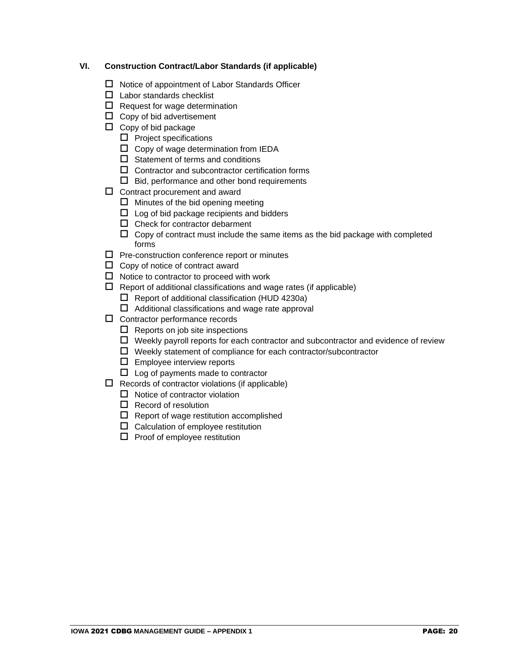# **VI. Construction Contract/Labor Standards (if applicable)**

- $\Box$  Notice of appointment of Labor Standards Officer
- $\Box$  Labor standards checklist
- $\Box$  Request for wage determination
- $\Box$  Copy of bid advertisement
- $\Box$  Copy of bid package
	- $\Box$  Project specifications
	- $\square$  Copy of wage determination from IEDA
	- $\Box$  Statement of terms and conditions
	- $\square$  Contractor and subcontractor certification forms
	- $\Box$  Bid, performance and other bond requirements
- $\square$  Contract procurement and award
	- $\Box$  Minutes of the bid opening meeting
	- $\square$  Log of bid package recipients and bidders
	- $\Box$  Check for contractor debarment
	- $\Box$  Copy of contract must include the same items as the bid package with completed forms
- $\square$  Pre-construction conference report or minutes
- $\Box$  Copy of notice of contract award
- $\Box$  Notice to contractor to proceed with work
- $\Box$  Report of additional classifications and wage rates (if applicable)
	- $\Box$  Report of additional classification (HUD 4230a)
	- $\Box$  Additional classifications and wage rate approval
- $\square$  Contractor performance records
	- $\Box$  Reports on job site inspections
	- $\Box$  Weekly payroll reports for each contractor and subcontractor and evidence of review
	- $\Box$  Weekly statement of compliance for each contractor/subcontractor
	- $\square$  Employee interview reports
	- $\Box$  Log of payments made to contractor
- $\Box$  Records of contractor violations (if applicable)
	- $\Box$  Notice of contractor violation
	- $\Box$  Record of resolution
	- $\Box$  Report of wage restitution accomplished
	- $\square$  Calculation of employee restitution
	- $\square$  Proof of employee restitution